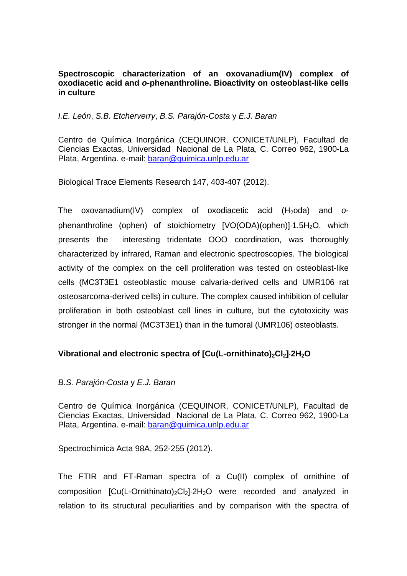### **Spectroscopic characterization of an oxovanadium(IV) complex of oxodiacetic acid and** *o***-phenanthroline. Bioactivity on osteoblast-like cells in culture**

## *I.E. León*, *S.B. Etcherverry*, *B.S. Parajón-Costa* y *E.J. Baran*

Centro de Química Inorgánica (CEQUINOR, CONICET/UNLP), Facultad de Ciencias Exactas, Universidad Nacional de La Plata, C. Correo 962, 1900-La Plata, Argentina. e-mail: baran@quimica.unlp.edu.ar

Biological Trace Elements Research 147, 403-407 (2012).

The oxovanadium(IV) complex of oxodiacetic acid (H<sub>2</sub>oda) and *o*phenanthroline (ophen) of stoichiometry  $[VO(ODA)(ophen)] \cdot 1.5H<sub>2</sub>O$ , which presents the interesting tridentate OOO coordination, was thoroughly characterized by infrared, Raman and electronic spectroscopies. The biological activity of the complex on the cell proliferation was tested on osteoblast-like cells (MC3T3E1 osteoblastic mouse calvaria-derived cells and UMR106 rat osteosarcoma-derived cells) in culture. The complex caused inhibition of cellular proliferation in both osteoblast cell lines in culture, but the cytotoxicity was stronger in the normal (MC3T3E1) than in the tumoral (UMR106) osteoblasts.

# Vibrational and electronic spectra of [Cu(L-ornithinato)<sub>2</sub>Cl<sub>2</sub>]<sup>2</sup>H<sub>2</sub>O

### *B.S. Parajón-Costa* y *E.J. Baran*

Centro de Química Inorgánica (CEQUINOR, CONICET/UNLP), Facultad de Ciencias Exactas, Universidad Nacional de La Plata, C. Correo 962, 1900-La Plata, Argentina. e-mail: baran@quimica.unlp.edu.ar

Spectrochimica Acta 98A, 252-255 (2012).

The FTIR and FT-Raman spectra of a Cu(II) complex of ornithine of composition  $[Cu(L-Ornithinato)<sub>2</sub>Cl<sub>2</sub>]<sub>2</sub>H<sub>2</sub>O$  were recorded and analyzed in relation to its structural peculiarities and by comparison with the spectra of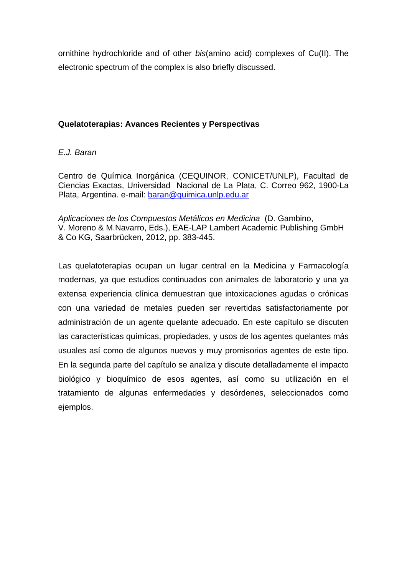ornithine hydrochloride and of other *bis*(amino acid) complexes of Cu(II). The electronic spectrum of the complex is also briefly discussed.

### **Quelatoterapias: Avances Recientes y Perspectivas**

## *E.J. Baran*

Centro de Química Inorgánica (CEQUINOR, CONICET/UNLP), Facultad de Ciencias Exactas, Universidad Nacional de La Plata, C. Correo 962, 1900-La Plata, Argentina. e-mail: baran@quimica.unlp.edu.ar

*Aplicaciones de los Compuestos Metálicos en Medicina* (D. Gambino, V. Moreno & M.Navarro, Eds.), EAE-LAP Lambert Academic Publishing GmbH & Co KG, Saarbrücken, 2012, pp. 383-445.

Las quelatoterapias ocupan un lugar central en la Medicina y Farmacología modernas, ya que estudios continuados con animales de laboratorio y una ya extensa experiencia clínica demuestran que intoxicaciones agudas o crónicas con una variedad de metales pueden ser revertidas satisfactoriamente por administración de un agente quelante adecuado. En este capítulo se discuten las características químicas, propiedades, y usos de los agentes quelantes más usuales así como de algunos nuevos y muy promisorios agentes de este tipo. En la segunda parte del capítulo se analiza y discute detalladamente el impacto biológico y bioquímico de esos agentes, así como su utilización en el tratamiento de algunas enfermedades y desórdenes, seleccionados como ejemplos.